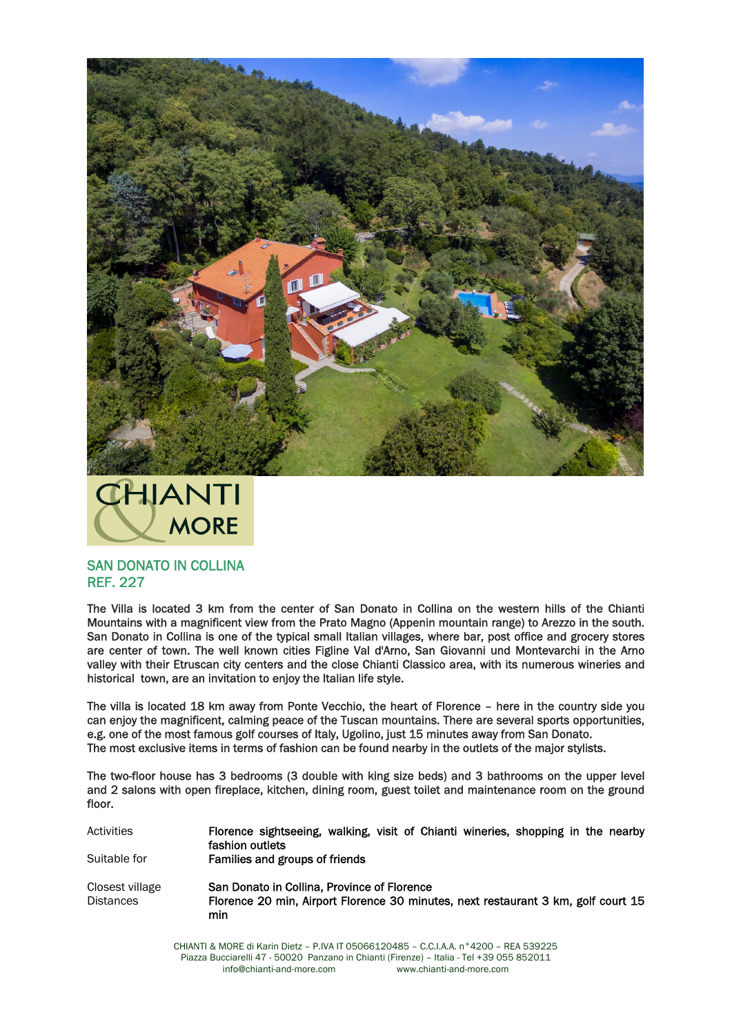



## SAN DONATO IN COLLINA REF. 227

The Villa is located 3 km from the center of San Donato in Collina on the western hills of the Chianti Mountains with a magnificent view from the Prato Magno (Appenin mountain range) to Arezzo in the south. San Donato in Collina is one of the typical small Italian villages, where bar, post office and grocery stores are center of town. The well known cities Figline Val d'Arno, San Giovanni und Montevarchi in the Arno valley with their Etruscan city centers and the close Chianti Classico area, with its numerous wineries and historical town, are an invitation to enjoy the Italian life style.

The villa is located 18 km away from Ponte Vecchio, the heart of Florence – here in the country side you can enjoy the magnificent, calming peace of the Tuscan mountains. There are several sports opportunities, e.g. one of the most famous golf courses of Italy, Ugolino, just 15 minutes away from San Donato. The most exclusive items in terms of fashion can be found nearby in the outlets of the major stylists.

The two-floor house has 3 bedrooms (3 double with king size beds) and 3 bathrooms on the upper level and 2 salons with open fireplace, kitchen, dining room, guest toilet and maintenance room on the ground floor.

Activities **Florence sightseeing, walking, visit of Chianti wineries, shopping in the nearby** fashion outlets Suitable for Families and groups of friends Closest village San Donato in Collina, Province of Florence Distances Florence 20 min, Airport Florence 30 minutes, next restaurant 3 km, golf court 15 min

> CHIANTI & MORE di Karin Dietz – P.IVA IT 05066120485 – C.C.I.A.A. n°4200 – REA 539225 Piazza Bucciarelli 47 - 50020 Panzano in Chianti (Firenze) – Italia - Tel +39 055 852011 info@chianti-and-more.com www.chianti-and-more.com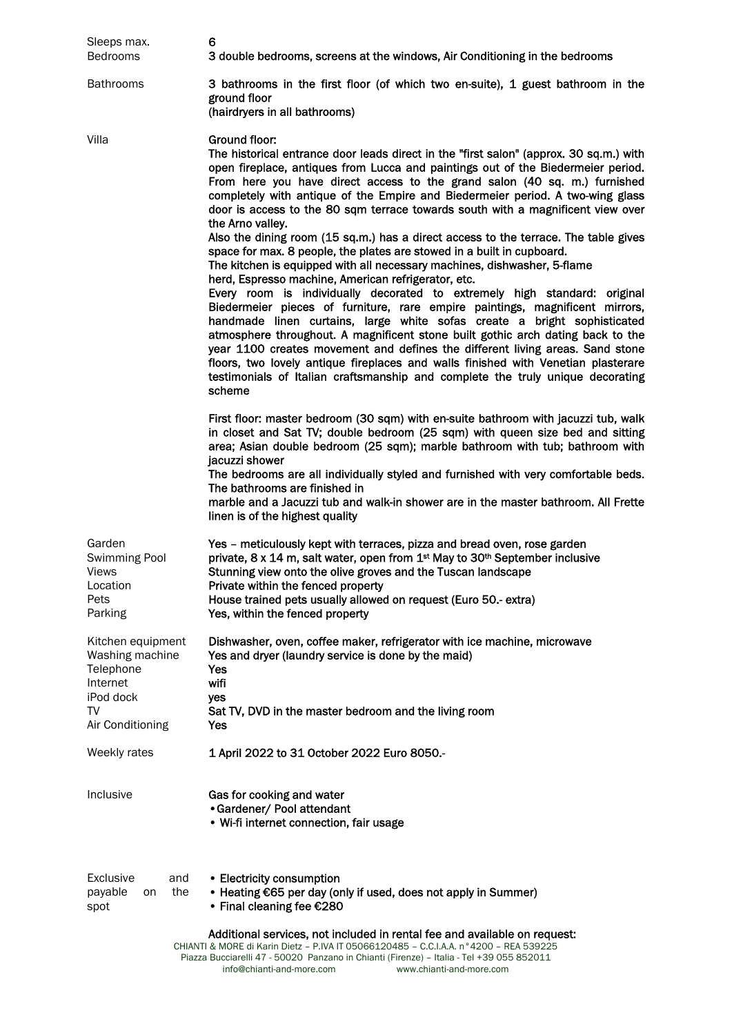| Sleeps max.<br>Bedrooms                                                       | 6<br>3 double bedrooms, screens at the windows, Air Conditioning in the bedrooms                                                                                                                                                                                                                                                                                                                                                                                                                                                                                                           |
|-------------------------------------------------------------------------------|--------------------------------------------------------------------------------------------------------------------------------------------------------------------------------------------------------------------------------------------------------------------------------------------------------------------------------------------------------------------------------------------------------------------------------------------------------------------------------------------------------------------------------------------------------------------------------------------|
| <b>Bathrooms</b>                                                              | 3 bathrooms in the first floor (of which two en-suite), 1 guest bathroom in the<br>ground floor<br>(hairdryers in all bathrooms)                                                                                                                                                                                                                                                                                                                                                                                                                                                           |
| Villa                                                                         | Ground floor:<br>The historical entrance door leads direct in the "first salon" (approx. 30 sq.m.) with<br>open fireplace, antiques from Lucca and paintings out of the Biedermeier period.<br>From here you have direct access to the grand salon (40 sq. m.) furnished<br>completely with antique of the Empire and Biedermeier period. A two-wing glass<br>door is access to the 80 sqm terrace towards south with a magnificent view over<br>the Arno valley.                                                                                                                          |
|                                                                               | Also the dining room (15 sq.m.) has a direct access to the terrace. The table gives<br>space for max. 8 people, the plates are stowed in a built in cupboard.<br>The kitchen is equipped with all necessary machines, dishwasher, 5-flame<br>herd, Espresso machine, American refrigerator, etc.                                                                                                                                                                                                                                                                                           |
|                                                                               | Every room is individually decorated to extremely high standard: original<br>Biedermeier pieces of furniture, rare empire paintings, magnificent mirrors,<br>handmade linen curtains, large white sofas create a bright sophisticated<br>atmosphere throughout. A magnificent stone built gothic arch dating back to the<br>year 1100 creates movement and defines the different living areas. Sand stone<br>floors, two lovely antique fireplaces and walls finished with Venetian plasterare<br>testimonials of Italian craftsmanship and complete the truly unique decorating<br>scheme |
|                                                                               | First floor: master bedroom (30 sqm) with en-suite bathroom with jacuzzi tub, walk<br>in closet and Sat TV; double bedroom (25 sqm) with queen size bed and sitting<br>area; Asian double bedroom (25 sqm); marble bathroom with tub; bathroom with<br>jacuzzi shower                                                                                                                                                                                                                                                                                                                      |
|                                                                               | The bedrooms are all individually styled and furnished with very comfortable beds.<br>The bathrooms are finished in<br>marble and a Jacuzzi tub and walk-in shower are in the master bathroom. All Frette<br>linen is of the highest quality                                                                                                                                                                                                                                                                                                                                               |
| Garden<br><b>Swimming Pool</b><br><b>Views</b><br>Location<br>Pets<br>Parking | Yes - meticulously kept with terraces, pizza and bread oven, rose garden<br>private, 8 x 14 m, salt water, open from 1 <sup>st</sup> May to 30 <sup>th</sup> September inclusive<br>Stunning view onto the olive groves and the Tuscan landscape<br>Private within the fenced property<br>House trained pets usually allowed on request (Euro 50.- extra)<br>Yes, within the fenced property                                                                                                                                                                                               |
| Kitchen equipment<br>Washing machine<br>Telephone<br>Internet                 | Dishwasher, oven, coffee maker, refrigerator with ice machine, microwave<br>Yes and dryer (laundry service is done by the maid)<br>Yes<br>wifi                                                                                                                                                                                                                                                                                                                                                                                                                                             |
| iPod dock<br>TV<br>Air Conditioning                                           | yes<br>Sat TV, DVD in the master bedroom and the living room<br>Yes                                                                                                                                                                                                                                                                                                                                                                                                                                                                                                                        |
| Weekly rates                                                                  | 1 April 2022 to 31 October 2022 Euro 8050.-                                                                                                                                                                                                                                                                                                                                                                                                                                                                                                                                                |
| Inclusive                                                                     | Gas for cooking and water<br>• Gardener/ Pool attendant<br>• Wi-fi internet connection, fair usage                                                                                                                                                                                                                                                                                                                                                                                                                                                                                         |
| Exclusive<br>and<br>payable<br>the<br>on<br>spot                              | • Electricity consumption<br>• Heating €65 per day (only if used, does not apply in Summer)<br>• Final cleaning fee $£280$                                                                                                                                                                                                                                                                                                                                                                                                                                                                 |
|                                                                               | Additional services, not included in rental fee and available on request:<br>CHIANTI & MORE di Karin Dietz - P.IVA IT 05066120485 - C.C.I.A.A. n°4200 - REA 539225<br>Piazza Bucciarelli 47 - 50020 Panzano in Chianti (Firenze) - Italia - Tel +39 055 852011                                                                                                                                                                                                                                                                                                                             |

info@chianti-and-more.com www.chianti-and-more.com